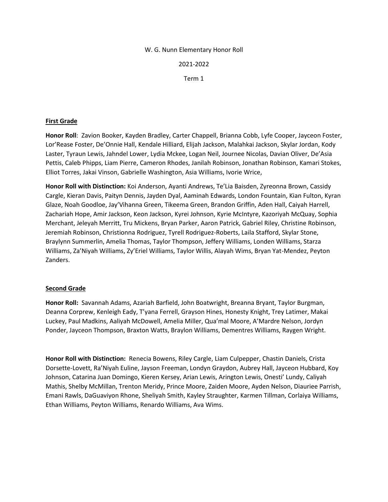### W. G. Nunn Elementary Honor Roll

2021-2022

Term 1

### **First Grade**

**Honor Roll**: Zavion Booker, Kayden Bradley, Carter Chappell, Brianna Cobb, Lyfe Cooper, Jayceon Foster, Lor'Rease Foster, De'Onnie Hall, Kendale Hilliard, Elijah Jackson, Malahkai Jackson, Skylar Jordan, Kody Laster, Tyraun Lewis, Jahndel Lower, Lydia Mckee, Logan Neil, Journee Nicolas, Davian Oliver, De'Asia Pettis, Caleb Phipps, Liam Pierre, Cameron Rhodes, Janilah Robinson, Jonathan Robinson, Kamari Stokes, Elliot Torres, Jakai Vinson, Gabrielle Washington, Asia Williams, Ivorie Wrice,

**Honor Roll with Distinction:** Koi Anderson, Ayanti Andrews, Te'Lia Baisden, Zyreonna Brown, Cassidy Cargle, Kieran Davis, Paityn Dennis, Jayden Dyal, Aaminah Edwards, London Fountain, Kian Fulton, Kyran Glaze, Noah Goodloe, Jay'Vihanna Green, Tikeema Green, Brandon Griffin, Aden Hall, Caiyah Harrell, Zachariah Hope, Amir Jackson, Keon Jackson, Kyrei Johnson, Kyrie McIntyre, Kazoriyah McQuay, Sophia Merchant, Jeleyah Merritt, Tru Mickens, Bryan Parker, Aaron Patrick, Gabriel Riley, Christine Robinson, Jeremiah Robinson, Christionna Rodriguez, Tyrell Rodriguez-Roberts, Laila Stafford, Skylar Stone, Braylynn Summerlin, Amelia Thomas, Taylor Thompson, Jeffery Williams, Londen Williams, Starza Williams, Za'Niyah Williams, Zy'Eriel Williams, Taylor Willis, Alayah Wims, Bryan Yat-Mendez, Peyton Zanders.

### **Second Grade**

**Honor Roll:** Savannah Adams, Azariah Barfield, John Boatwright, Breanna Bryant, Taylor Burgman, Deanna Corprew, Kenleigh Eady, T'yana Ferrell, Grayson Hines, Honesty Knight, Trey Latimer, Makai Luckey, Paul Madkins, Aaliyah McDowell, Amelia Miller, Qua'mal Moore, A'Mardre Nelson, Jordyn Ponder, Jayceon Thompson, Braxton Watts, Braylon Williams, Dementres Williams, Raygen Wright.

**Honor Roll with Distinction:** Renecia Bowens, Riley Cargle, Liam Culpepper, Chastin Daniels, Crista Dorsette-Lovett, Ra'Niyah Euline, Jayson Freeman, Londyn Graydon, Aubrey Hall, Jayceon Hubbard, Koy Johnson, Catarina Juan Domingo, Kieren Kersey, Arian Lewis, Arington Lewis, Onesti' Lundy, Caliyah Mathis, Shelby McMillan, Trenton Meridy, Prince Moore, Zaiden Moore, Ayden Nelson, Diauriee Parrish, Emani Rawls, DaGuaviyon Rhone, Sheliyah Smith, Kayley Straughter, Karmen Tillman, Corlaiya Williams, Ethan Williams, Peyton Williams, Renardo Williams, Ava Wims.